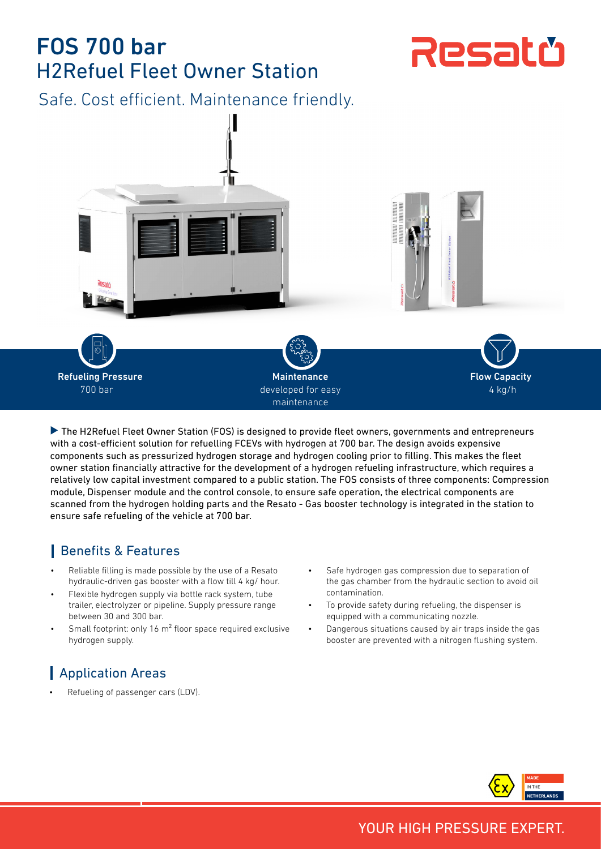# FOS 700 bar H2Refuel Fleet Owner Station

Resatü

Safe. Cost efficient. Maintenance friendly.



▶ The H2Refuel Fleet Owner Station (FOS) is designed to provide fleet owners, governments and entrepreneurs with a cost-efficient solution for refuelling FCEVs with hydrogen at 700 bar. The design avoids expensive components such as pressurized hydrogen storage and hydrogen cooling prior to filling. This makes the fleet owner station financially attractive for the development of a hydrogen refueling infrastructure, which requires a relatively low capital investment compared to a public station. The FOS consists of three components: Compression module, Dispenser module and the control console, to ensure safe operation, the electrical components are scanned from the hydrogen holding parts and the Resato - Gas booster technology is integrated in the station to ensure safe refueling of the vehicle at 700 bar.

## Benefits & Features

- Reliable filling is made possible by the use of a Resato hydraulic-driven gas booster with a flow till 4 kg/ hour.
- Flexible hydrogen supply via bottle rack system, tube trailer, electrolyzer or pipeline. Supply pressure range between 30 and 300 bar.
- Small footprint: only 16 m<sup>2</sup> floor space required exclusive hydrogen supply.

## **Application Areas**

Refueling of passenger cars (LDV).

- Safe hydrogen gas compression due to separation of the gas chamber from the hydraulic section to avoid oil contamination.
- To provide safety during refueling, the dispenser is equipped with a communicating nozzle.
- Dangerous situations caused by air traps inside the gas booster are prevented with a nitrogen flushing system.